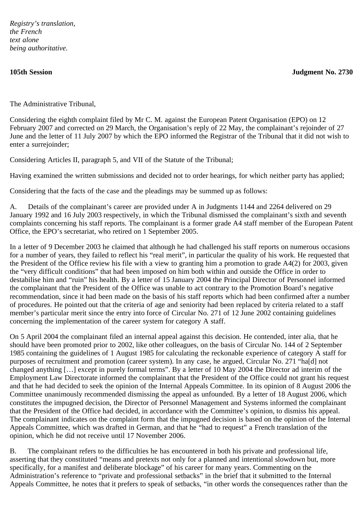*Registry's translation, the French text alone being authoritative.*

**105th Session Judgment No. 2730**

The Administrative Tribunal,

Considering the eighth complaint filed by Mr C. M. against the European Patent Organisation (EPO) on 12 February 2007 and corrected on 29 March, the Organisation's reply of 22 May, the complainant's rejoinder of 27 June and the letter of 11 July 2007 by which the EPO informed the Registrar of the Tribunal that it did not wish to enter a surrejoinder;

Considering Articles II, paragraph 5, and VII of the Statute of the Tribunal;

Having examined the written submissions and decided not to order hearings, for which neither party has applied;

Considering that the facts of the case and the pleadings may be summed up as follows:

A. Details of the complainant's career are provided under A in Judgments 1144 and 2264 delivered on 29 January 1992 and 16 July 2003 respectively, in which the Tribunal dismissed the complainant's sixth and seventh complaints concerning his staff reports. The complainant is a former grade A4 staff member of the European Patent Office, the EPO's secretariat, who retired on 1 September 2005.

In a letter of 9 December 2003 he claimed that although he had challenged his staff reports on numerous occasions for a number of years, they failed to reflect his "real merit", in particular the quality of his work. He requested that the President of the Office review his file with a view to granting him a promotion to grade A4(2) for 2003, given the "very difficult conditions" that had been imposed on him both within and outside the Office in order to destabilise him and "ruin" his health. By a letter of 15 January 2004 the Principal Director of Personnel informed the complainant that the President of the Office was unable to act contrary to the Promotion Board's negative recommendation, since it had been made on the basis of his staff reports which had been confirmed after a number of procedures. He pointed out that the criteria of age and seniority had been replaced by criteria related to a staff member's particular merit since the entry into force of Circular No. 271 of 12 June 2002 containing guidelines concerning the implementation of the career system for category A staff.

On 5 April 2004 the complainant filed an internal appeal against this decision. He contended, inter alia, that he should have been promoted prior to 2002, like other colleagues, on the basis of Circular No. 144 of 2 September 1985 containing the guidelines of 1 August 1985 for calculating the reckonable experience of category A staff for purposes of recruitment and promotion (career system). In any case, he argued, Circular No. 271 "ha[d] not changed anything […] except in purely formal terms". By a letter of 10 May 2004 the Director ad interim of the Employment Law Directorate informed the complainant that the President of the Office could not grant his request and that he had decided to seek the opinion of the Internal Appeals Committee. In its opinion of 8 August 2006 the Committee unanimously recommended dismissing the appeal as unfounded. By a letter of 18 August 2006, which constitutes the impugned decision, the Director of Personnel Management and Systems informed the complainant that the President of the Office had decided, in accordance with the Committee's opinion, to dismiss his appeal. The complainant indicates on the complaint form that the impugned decision is based on the opinion of the Internal Appeals Committee, which was drafted in German, and that he "had to request" a French translation of the opinion, which he did not receive until 17 November 2006.

B. The complainant refers to the difficulties he has encountered in both his private and professional life, asserting that they constituted "means and pretexts not only for a planned and intentional slowdown but, more specifically, for a manifest and deliberate blockage" of his career for many years. Commenting on the Administration's reference to "private and professional setbacks" in the brief that it submitted to the Internal Appeals Committee, he notes that it prefers to speak of setbacks, "in other words the consequences rather than the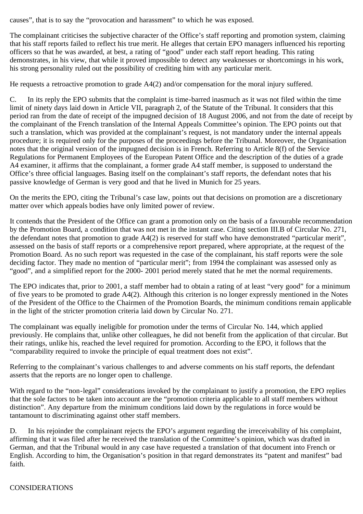causes", that is to say the "provocation and harassment" to which he was exposed.

The complainant criticises the subjective character of the Office's staff reporting and promotion system, claiming that his staff reports failed to reflect his true merit. He alleges that certain EPO managers influenced his reporting officers so that he was awarded, at best, a rating of "good" under each staff report heading. This rating demonstrates, in his view, that while it proved impossible to detect any weaknesses or shortcomings in his work, his strong personality ruled out the possibility of crediting him with any particular merit.

He requests a retroactive promotion to grade A4(2) and/or compensation for the moral injury suffered.

C. In its reply the EPO submits that the complaint is time-barred inasmuch as it was not filed within the time limit of ninety days laid down in Article VII, paragraph 2, of the Statute of the Tribunal. It considers that this period ran from the date of receipt of the impugned decision of 18 August 2006, and not from the date of receipt by the complainant of the French translation of the Internal Appeals Committee's opinion. The EPO points out that such a translation, which was provided at the complainant's request, is not mandatory under the internal appeals procedure; it is required only for the purposes of the proceedings before the Tribunal. Moreover, the Organisation notes that the original version of the impugned decision is in French. Referring to Article 8(f) of the Service Regulations for Permanent Employees of the European Patent Office and the description of the duties of a grade A4 examiner, it affirms that the complainant, a former grade A4 staff member, is supposed to understand the Office's three official languages. Basing itself on the complainant's staff reports, the defendant notes that his passive knowledge of German is very good and that he lived in Munich for 25 years.

On the merits the EPO, citing the Tribunal's case law, points out that decisions on promotion are a discretionary matter over which appeals bodies have only limited power of review.

It contends that the President of the Office can grant a promotion only on the basis of a favourable recommendation by the Promotion Board, a condition that was not met in the instant case. Citing section III.B of Circular No. 271, the defendant notes that promotion to grade A4(2) is reserved for staff who have demonstrated "particular merit", assessed on the basis of staff reports or a comprehensive report prepared, where appropriate, at the request of the Promotion Board. As no such report was requested in the case of the complainant, his staff reports were the sole deciding factor. They made no mention of "particular merit"; from 1994 the complainant was assessed only as "good", and a simplified report for the 2000- 2001 period merely stated that he met the normal requirements.

The EPO indicates that, prior to 2001, a staff member had to obtain a rating of at least "very good" for a minimum of five years to be promoted to grade A4(2). Although this criterion is no longer expressly mentioned in the Notes of the President of the Office to the Chairmen of the Promotion Boards, the minimum conditions remain applicable in the light of the stricter promotion criteria laid down by Circular No. 271.

The complainant was equally ineligible for promotion under the terms of Circular No. 144, which applied previously. He complains that, unlike other colleagues, he did not benefit from the application of that circular. But their ratings, unlike his, reached the level required for promotion. According to the EPO, it follows that the "comparability required to invoke the principle of equal treatment does not exist".

Referring to the complainant's various challenges to and adverse comments on his staff reports, the defendant asserts that the reports are no longer open to challenge.

With regard to the "non-legal" considerations invoked by the complainant to justify a promotion, the EPO replies that the sole factors to be taken into account are the "promotion criteria applicable to all staff members without distinction". Any departure from the minimum conditions laid down by the regulations in force would be tantamount to discriminating against other staff members.

D. In his rejoinder the complainant rejects the EPO's argument regarding the irreceivability of his complaint, affirming that it was filed after he received the translation of the Committee's opinion, which was drafted in German, and that the Tribunal would in any case have requested a translation of that document into French or English. According to him, the Organisation's position in that regard demonstrates its "patent and manifest" bad faith.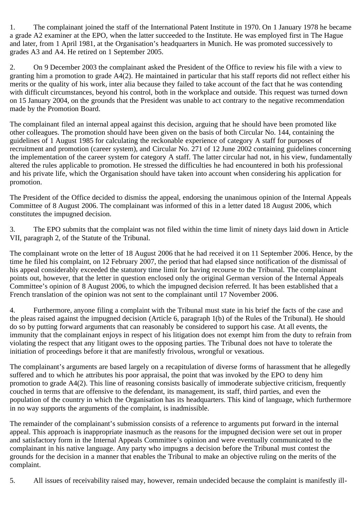1. The complainant joined the staff of the International Patent Institute in 1970. On 1 January 1978 he became a grade A2 examiner at the EPO, when the latter succeeded to the Institute. He was employed first in The Hague and later, from 1 April 1981, at the Organisation's headquarters in Munich. He was promoted successively to grades A3 and A4. He retired on 1 September 2005.

2. On 9 December 2003 the complainant asked the President of the Office to review his file with a view to granting him a promotion to grade A4(2). He maintained in particular that his staff reports did not reflect either his merits or the quality of his work, inter alia because they failed to take account of the fact that he was contending with difficult circumstances, beyond his control, both in the workplace and outside. This request was turned down on 15 January 2004, on the grounds that the President was unable to act contrary to the negative recommendation made by the Promotion Board.

The complainant filed an internal appeal against this decision, arguing that he should have been promoted like other colleagues. The promotion should have been given on the basis of both Circular No. 144, containing the guidelines of 1 August 1985 for calculating the reckonable experience of category A staff for purposes of recruitment and promotion (career system), and Circular No. 271 of 12 June 2002 containing guidelines concerning the implementation of the career system for category A staff. The latter circular had not, in his view, fundamentally altered the rules applicable to promotion. He stressed the difficulties he had encountered in both his professional and his private life, which the Organisation should have taken into account when considering his application for promotion.

The President of the Office decided to dismiss the appeal, endorsing the unanimous opinion of the Internal Appeals Committee of 8 August 2006. The complainant was informed of this in a letter dated 18 August 2006, which constitutes the impugned decision.

3. The EPO submits that the complaint was not filed within the time limit of ninety days laid down in Article VII, paragraph 2, of the Statute of the Tribunal.

The complainant wrote on the letter of 18 August 2006 that he had received it on 11 September 2006. Hence, by the time he filed his complaint, on 12 February 2007, the period that had elapsed since notification of the dismissal of his appeal considerably exceeded the statutory time limit for having recourse to the Tribunal. The complainant points out, however, that the letter in question enclosed only the original German version of the Internal Appeals Committee's opinion of 8 August 2006, to which the impugned decision referred. It has been established that a French translation of the opinion was not sent to the complainant until 17 November 2006.

4. Furthermore, anyone filing a complaint with the Tribunal must state in his brief the facts of the case and the pleas raised against the impugned decision (Article 6, paragraph 1(b) of the Rules of the Tribunal). He should do so by putting forward arguments that can reasonably be considered to support his case. At all events, the immunity that the complainant enjoys in respect of his litigation does not exempt him from the duty to refrain from violating the respect that any litigant owes to the opposing parties. The Tribunal does not have to tolerate the initiation of proceedings before it that are manifestly frivolous, wrongful or vexatious.

The complainant's arguments are based largely on a recapitulation of diverse forms of harassment that he allegedly suffered and to which he attributes his poor appraisal, the point that was invoked by the EPO to deny him promotion to grade A4(2). This line of reasoning consists basically of immoderate subjective criticism, frequently couched in terms that are offensive to the defendant, its management, its staff, third parties, and even the population of the country in which the Organisation has its headquarters. This kind of language, which furthermore in no way supports the arguments of the complaint, is inadmissible.

The remainder of the complainant's submission consists of a reference to arguments put forward in the internal appeal. This approach is inappropriate inasmuch as the reasons for the impugned decision were set out in proper and satisfactory form in the Internal Appeals Committee's opinion and were eventually communicated to the complainant in his native language. Any party who impugns a decision before the Tribunal must contest the grounds for the decision in a manner that enables the Tribunal to make an objective ruling on the merits of the complaint.

5. All issues of receivability raised may, however, remain undecided because the complaint is manifestly ill-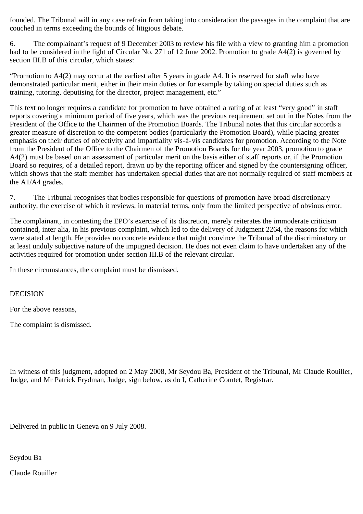founded. The Tribunal will in any case refrain from taking into consideration the passages in the complaint that are couched in terms exceeding the bounds of litigious debate.

6. The complainant's request of 9 December 2003 to review his file with a view to granting him a promotion had to be considered in the light of Circular No. 271 of 12 June 2002. Promotion to grade A4(2) is governed by section III.B of this circular, which states:

"Promotion to A4(2) may occur at the earliest after 5 years in grade A4. It is reserved for staff who have demonstrated particular merit, either in their main duties or for example by taking on special duties such as training, tutoring, deputising for the director, project management, etc."

This text no longer requires a candidate for promotion to have obtained a rating of at least "very good" in staff reports covering a minimum period of five years, which was the previous requirement set out in the Notes from the President of the Office to the Chairmen of the Promotion Boards. The Tribunal notes that this circular accords a greater measure of discretion to the competent bodies (particularly the Promotion Board), while placing greater emphasis on their duties of objectivity and impartiality vis-à-vis candidates for promotion. According to the Note from the President of the Office to the Chairmen of the Promotion Boards for the year 2003, promotion to grade A4(2) must be based on an assessment of particular merit on the basis either of staff reports or, if the Promotion Board so requires, of a detailed report, drawn up by the reporting officer and signed by the countersigning officer, which shows that the staff member has undertaken special duties that are not normally required of staff members at the A1/A4 grades.

7. The Tribunal recognises that bodies responsible for questions of promotion have broad discretionary authority, the exercise of which it reviews, in material terms, only from the limited perspective of obvious error.

The complainant, in contesting the EPO's exercise of its discretion, merely reiterates the immoderate criticism contained, inter alia, in his previous complaint, which led to the delivery of Judgment 2264, the reasons for which were stated at length. He provides no concrete evidence that might convince the Tribunal of the discriminatory or at least unduly subjective nature of the impugned decision. He does not even claim to have undertaken any of the activities required for promotion under section III.B of the relevant circular.

In these circumstances, the complaint must be dismissed.

## DECISION

For the above reasons,

The complaint is dismissed.

In witness of this judgment, adopted on 2 May 2008, Mr Seydou Ba, President of the Tribunal, Mr Claude Rouiller, Judge, and Mr Patrick Frydman, Judge, sign below, as do I, Catherine Comtet, Registrar.

Delivered in public in Geneva on 9 July 2008.

Seydou Ba

Claude Rouiller